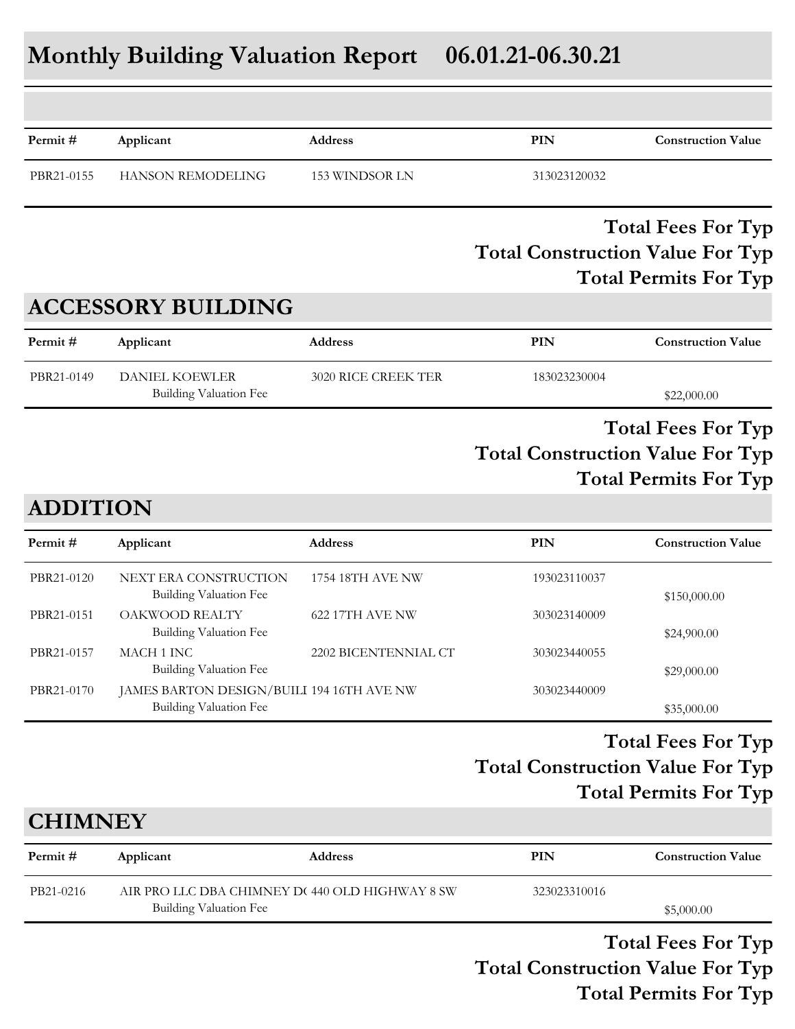# **Monthly Building Valuation Report 06.01.21-06.30.21**

| Permit#         | Applicant                                              | <b>Address</b>       | PIN                                     | <b>Construction Value</b>                                 |
|-----------------|--------------------------------------------------------|----------------------|-----------------------------------------|-----------------------------------------------------------|
| PBR21-0155      | <b>HANSON REMODELING</b>                               | 153 WINDSOR LN       | 313023120032                            |                                                           |
|                 |                                                        |                      | <b>Total Construction Value For Typ</b> | <b>Total Fees For Typ</b><br><b>Total Permits For Typ</b> |
|                 | <b>ACCESSORY BUILDING</b>                              |                      |                                         |                                                           |
| Permit#         | Applicant                                              | <b>Address</b>       | PIN                                     | <b>Construction Value</b>                                 |
| PBR21-0149      | <b>DANIEL KOEWLER</b><br><b>Building Valuation Fee</b> | 3020 RICE CREEK TER  | 183023230004                            | \$22,000.00                                               |
| <b>ADDITION</b> |                                                        |                      | <b>Total Construction Value For Typ</b> | <b>Total Fees For Typ</b><br><b>Total Permits For Typ</b> |
| Permit#         | Applicant                                              | <b>Address</b>       | <b>PIN</b>                              | <b>Construction Value</b>                                 |
| PBR21-0120      | NEXT ERA CONSTRUCTION<br><b>Building Valuation Fee</b> | 1754 18TH AVE NW     | 193023110037                            | \$150,000.00                                              |
| PBR21-0151      | OAKWOOD REALTY<br><b>Building Valuation Fee</b>        | 622 17TH AVE NW      | 303023140009                            | \$24,900.00                                               |
| PBR21-0157      | MACH 1 INC<br><b>Building Valuation Fee</b>            | 2202 BICENTENNIAL CT | 303023440055                            | \$29,000.00                                               |
| PBR21-0170      | JAMES BARTON DESIGN/BUILI 194 16TH AVE NW              |                      | 303023440009                            |                                                           |

# **Total Construction Value For Typ Total Fees For Typ Total Permits For Typ**

# **Permit # Applicant Address PIN Construction Value CHIMNEY** PB21-0216 AIR PRO LLC DBA CHIMNEY D(440 OLD HIGHWAY 8 SW 323023310016 Building Valuation Fee  $$5,000.00$

Building Valuation Fee  $$35,000.00$ 

**Total Construction Value For Typ Total Fees For Typ Total Permits For Typ**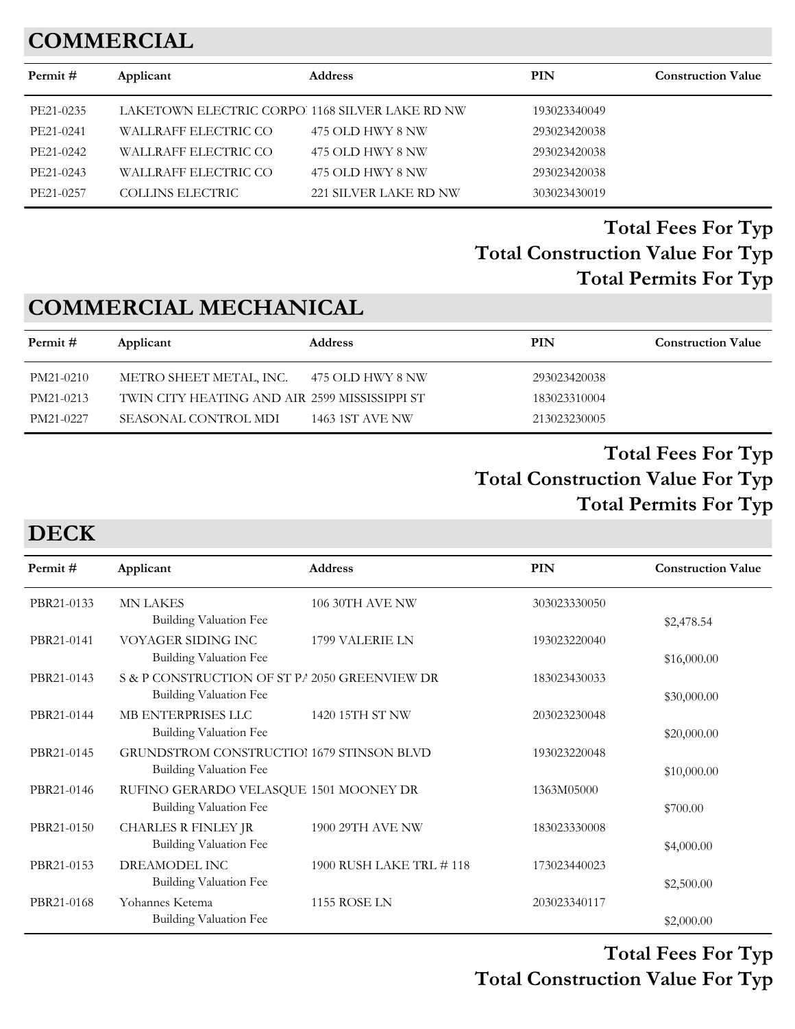# **COMMERCIAL**

| Permit#   | Applicant               | <b>Address</b>                                 | <b>PIN</b>   | <b>Construction Value</b> |
|-----------|-------------------------|------------------------------------------------|--------------|---------------------------|
| PE21-0235 |                         | LAKETOWN ELECTRIC CORPO 1168 SILVER LAKE RD NW | 193023340049 |                           |
| PE21-0241 | WALLRAFF ELECTRIC CO    | 475 OLD HWY 8 NW                               | 293023420038 |                           |
| PE21-0242 | WALLRAFF ELECTRIC CO    | 475 OLD HWY 8 NW                               | 293023420038 |                           |
| PE21-0243 | WALLRAFF ELECTRIC CO    | 475 OLD HWY 8 NW                               | 293023420038 |                           |
| PE21-0257 | <b>COLLINS ELECTRIC</b> | 221 SILVER LAKE RD NW                          | 303023430019 |                           |
|           |                         |                                                |              |                           |

### **Total Construction Value For Typ Total Fees For Typ Total Permits For Typ**

# **COMMERCIAL MECHANICAL**

| Permit #  | Applicant                                     | <b>Address</b>   | PIN          | <b>Construction Value</b> |
|-----------|-----------------------------------------------|------------------|--------------|---------------------------|
| PM21-0210 | METRO SHEET METAL, INC.                       | 475 OLD HWY 8 NW | 293023420038 |                           |
| PM21-0213 | TWIN CITY HEATING AND AIR 2599 MISSISSIPPI ST |                  | 183023310004 |                           |
| PM21-0227 | SEASONAL CONTROL MDI                          | 1463 1ST AVE NW  | 213023230005 |                           |

#### **Total Construction Value For Typ Total Fees For Typ Total Permits For Typ**

# **DECK**

| Applicant                     |                                                         | <b>PIN</b>                                                                                                                                             | <b>Construction Value</b> |
|-------------------------------|---------------------------------------------------------|--------------------------------------------------------------------------------------------------------------------------------------------------------|---------------------------|
| <b>MN LAKES</b>               | 106 30TH AVE NW                                         | 303023330050                                                                                                                                           |                           |
|                               |                                                         |                                                                                                                                                        | \$2,478.54                |
| VOYAGER SIDING INC            | 1799 VALERIE LN                                         | 193023220040                                                                                                                                           |                           |
|                               |                                                         |                                                                                                                                                        | \$16,000.00               |
|                               |                                                         | 183023430033                                                                                                                                           |                           |
| <b>Building Valuation Fee</b> |                                                         |                                                                                                                                                        | \$30,000.00               |
| MB ENTERPRISES LLC            | 1420 15TH ST NW                                         | 203023230048                                                                                                                                           |                           |
| <b>Building Valuation Fee</b> |                                                         |                                                                                                                                                        | \$20,000.00               |
|                               |                                                         | 193023220048                                                                                                                                           |                           |
| <b>Building Valuation Fee</b> |                                                         |                                                                                                                                                        | \$10,000.00               |
|                               |                                                         | 1363M05000                                                                                                                                             |                           |
| Building Valuation Fee        |                                                         |                                                                                                                                                        | \$700.00                  |
| <b>CHARLES R FINLEY JR</b>    | 1900 29TH AVE NW                                        | 183023330008                                                                                                                                           |                           |
| Building Valuation Fee        |                                                         |                                                                                                                                                        | \$4,000.00                |
| DREAMODEL INC                 | 1900 RUSH LAKE TRL #118                                 | 173023440023                                                                                                                                           |                           |
| <b>Building Valuation Fee</b> |                                                         |                                                                                                                                                        | \$2,500.00                |
| Yohannes Ketema               | <b>1155 ROSE LN</b>                                     |                                                                                                                                                        |                           |
| <b>Building Valuation Fee</b> |                                                         |                                                                                                                                                        | \$2,000.00                |
|                               | <b>Building Valuation Fee</b><br>Building Valuation Fee | <b>Address</b><br>S & P CONSTRUCTION OF ST PA 2050 GREENVIEW DR<br>GRUNDSTROM CONSTRUCTIOI 1679 STINSON BLVD<br>RUFINO GERARDO VELASQUE 1501 MOONEY DR | 203023340117              |

**Total Construction Value For Typ Total Fees For Typ**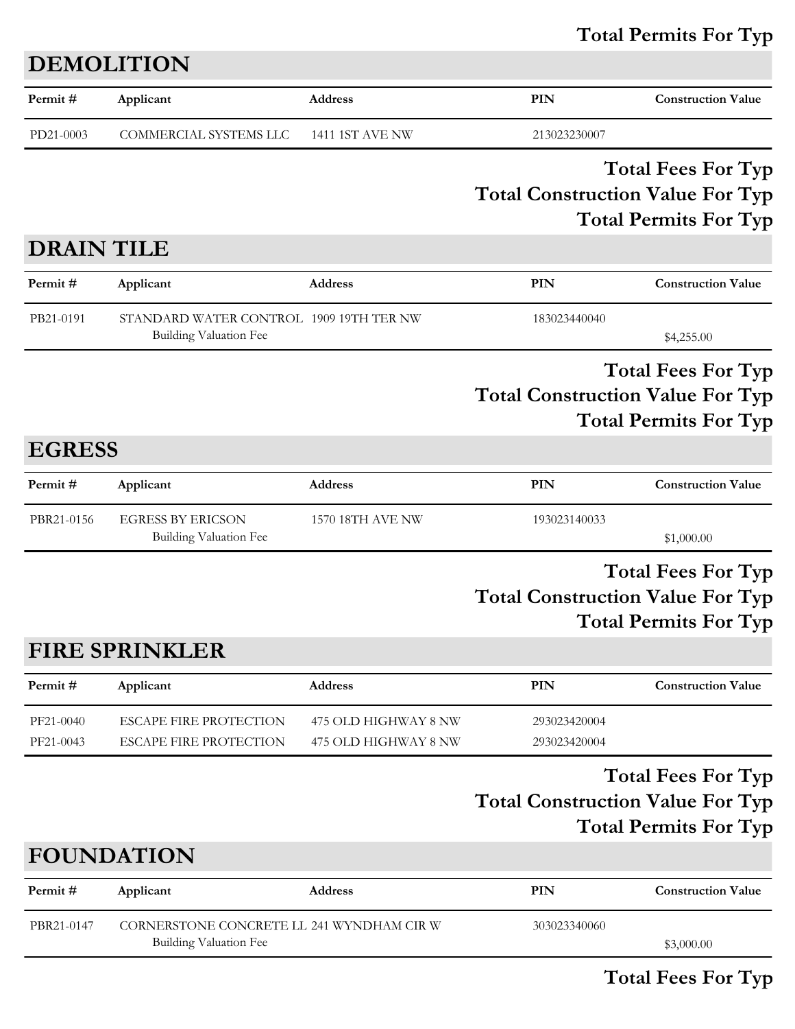# Total Permits For Typ

|                        | <b>DEMOLITION</b>                                                          |                                              |                                         |                                                           |
|------------------------|----------------------------------------------------------------------------|----------------------------------------------|-----------------------------------------|-----------------------------------------------------------|
| Permit#                | Applicant                                                                  | <b>Address</b>                               | PIN                                     | <b>Construction Value</b>                                 |
| PD21-0003              | COMMERCIAL SYSTEMS LLC                                                     | <b>1411 1ST AVE NW</b>                       | 213023230007                            |                                                           |
|                        |                                                                            |                                              | <b>Total Construction Value For Typ</b> | <b>Total Fees For Typ</b><br><b>Total Permits For Typ</b> |
| <b>DRAIN TILE</b>      |                                                                            |                                              |                                         |                                                           |
| Permit#                | Applicant                                                                  | <b>Address</b>                               | PIN                                     | <b>Construction Value</b>                                 |
| PB21-0191              | STANDARD WATER CONTROL 1909 19TH TER NW<br><b>Building Valuation Fee</b>   |                                              | 183023440040                            | \$4,255.00                                                |
|                        |                                                                            |                                              | <b>Total Construction Value For Typ</b> | <b>Total Fees For Typ</b><br><b>Total Permits For Typ</b> |
| <b>EGRESS</b>          |                                                                            |                                              |                                         |                                                           |
| Permit#                | Applicant                                                                  | <b>Address</b>                               | PIN                                     | <b>Construction Value</b>                                 |
| PBR21-0156             | <b>EGRESS BY ERICSON</b><br><b>Building Valuation Fee</b>                  | 1570 18TH AVE NW                             | 193023140033                            | \$1,000.00                                                |
|                        |                                                                            |                                              | <b>Total Construction Value For Typ</b> | <b>Total Fees For Typ</b><br><b>Total Permits For Typ</b> |
|                        | <b>FIRE SPRINKLER</b>                                                      |                                              |                                         |                                                           |
| Permit#                | Applicant                                                                  | Address                                      | PIN                                     | <b>Construction Value</b>                                 |
| PF21-0040<br>PF21-0043 | <b>ESCAPE FIRE PROTECTION</b><br><b>ESCAPE FIRE PROTECTION</b>             | 475 OLD HIGHWAY 8 NW<br>475 OLD HIGHWAY 8 NW | 293023420004<br>293023420004            |                                                           |
|                        |                                                                            |                                              | <b>Total Construction Value For Typ</b> | <b>Total Fees For Typ</b><br><b>Total Permits For Typ</b> |
|                        | <b>FOUNDATION</b>                                                          |                                              |                                         |                                                           |
| Permit#                | Applicant                                                                  | Address                                      | PIN                                     | <b>Construction Value</b>                                 |
| PBR21-0147             | CORNERSTONE CONCRETE LL 241 WYNDHAM CIR W<br><b>Building Valuation Fee</b> |                                              | 303023340060                            | \$3,000.00                                                |

Total Fees For Typ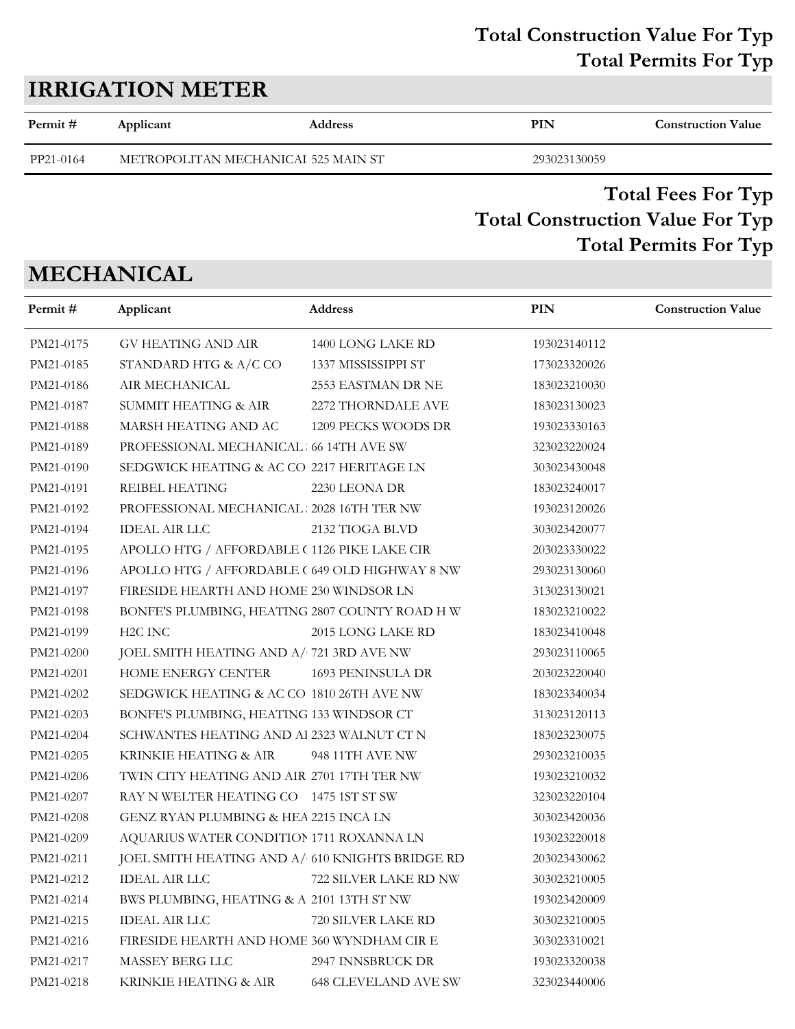### **Total Construction Value For Typ Total Permits For Typ**

| <b>IRRIGATION METER</b> |           |                                     |              |                           |  |
|-------------------------|-----------|-------------------------------------|--------------|---------------------------|--|
| Permit #                | Applicant | <b>Address</b>                      | PIN          | <b>Construction Value</b> |  |
| PP21-0164               |           | METROPOLITAN MECHANICAI 525 MAIN ST | 293023130059 |                           |  |

### **Total Construction Value For Typ Total Fees For Typ Total Permits For Typ**

# **MECHANICAL**

| Permit#   | Applicant                                       | Address                     | PIN          | <b>Construction Value</b> |
|-----------|-------------------------------------------------|-----------------------------|--------------|---------------------------|
| PM21-0175 | GV HEATING AND AIR                              | 1400 LONG LAKE RD           | 193023140112 |                           |
| PM21-0185 | STANDARD HTG & A/C CO                           | 1337 MISSISSIPPI ST         | 173023320026 |                           |
| PM21-0186 | AIR MECHANICAL                                  | 2553 EASTMAN DR NE          | 183023210030 |                           |
| PM21-0187 | SUMMIT HEATING & AIR                            | 2272 THORNDALE AVE          | 183023130023 |                           |
| PM21-0188 | MARSH HEATING AND AC                            | 1209 PECKS WOODS DR         | 193023330163 |                           |
| PM21-0189 | PROFESSIONAL MECHANICAL 66 14TH AVE SW          |                             | 323023220024 |                           |
| PM21-0190 | SEDGWICK HEATING & AC CO 2217 HERITAGE LN       |                             | 303023430048 |                           |
| PM21-0191 | REIBEL HEATING                                  | 2230 LEONA DR               | 183023240017 |                           |
| PM21-0192 | PROFESSIONAL MECHANICAL 2028 16TH TER NW        |                             | 193023120026 |                           |
| PM21-0194 | <b>IDEAL AIR LLC</b>                            | 2132 TIOGA BLVD             | 303023420077 |                           |
| PM21-0195 | APOLLO HTG / AFFORDABLE (1126 PIKE LAKE CIR     |                             | 203023330022 |                           |
| PM21-0196 | APOLLO HTG / AFFORDABLE ( 649 OLD HIGHWAY 8 NW  |                             | 293023130060 |                           |
| PM21-0197 | FIRESIDE HEARTH AND HOME 230 WINDSOR LN         |                             | 313023130021 |                           |
| PM21-0198 | BONFE'S PLUMBING, HEATING 2807 COUNTY ROAD HW   |                             | 183023210022 |                           |
| PM21-0199 | H <sub>2</sub> C INC                            | 2015 LONG LAKE RD           | 183023410048 |                           |
| PM21-0200 | JOEL SMITH HEATING AND A/ 721 3RD AVE NW        |                             | 293023110065 |                           |
| PM21-0201 | HOME ENERGY CENTER                              | 1693 PENINSULA DR           | 203023220040 |                           |
| PM21-0202 | SEDGWICK HEATING & AC CO 1810 26TH AVE NW       |                             | 183023340034 |                           |
| PM21-0203 | BONFE'S PLUMBING, HEATING 133 WINDSOR CT        |                             | 313023120113 |                           |
| PM21-0204 | SCHWANTES HEATING AND Al 2323 WALNUT CT N       |                             | 183023230075 |                           |
| PM21-0205 | KRINKIE HEATING & AIR                           | 948 11TH AVE NW             | 293023210035 |                           |
| PM21-0206 | TWIN CITY HEATING AND AIR 2701 17TH TER NW      |                             | 193023210032 |                           |
| PM21-0207 | RAY N WELTER HEATING CO 1475 1ST ST SW          |                             | 323023220104 |                           |
| PM21-0208 | GENZ RYAN PLUMBING & HEA 2215 INCA LN           |                             | 303023420036 |                           |
| PM21-0209 | AQUARIUS WATER CONDITION 1711 ROXANNA LN        |                             | 193023220018 |                           |
| PM21-0211 | JOEL SMITH HEATING AND A/ 610 KNIGHTS BRIDGE RD |                             | 203023430062 |                           |
| PM21-0212 | IDEAL AIR LLC                                   | 722 SILVER LAKE RD NW       | 303023210005 |                           |
| PM21-0214 | BWS PLUMBING, HEATING & A 2101 13TH ST NW       |                             | 193023420009 |                           |
| PM21-0215 | <b>IDEAL AIR LLC</b>                            | 720 SILVER LAKE RD          | 303023210005 |                           |
| PM21-0216 | FIRESIDE HEARTH AND HOME 360 WYNDHAM CIR E      |                             | 303023310021 |                           |
| PM21-0217 | MASSEY BERG LLC                                 | 2947 INNSBRUCK DR           | 193023320038 |                           |
| PM21-0218 | KRINKIE HEATING & AIR                           | <b>648 CLEVELAND AVE SW</b> | 323023440006 |                           |
|           |                                                 |                             |              |                           |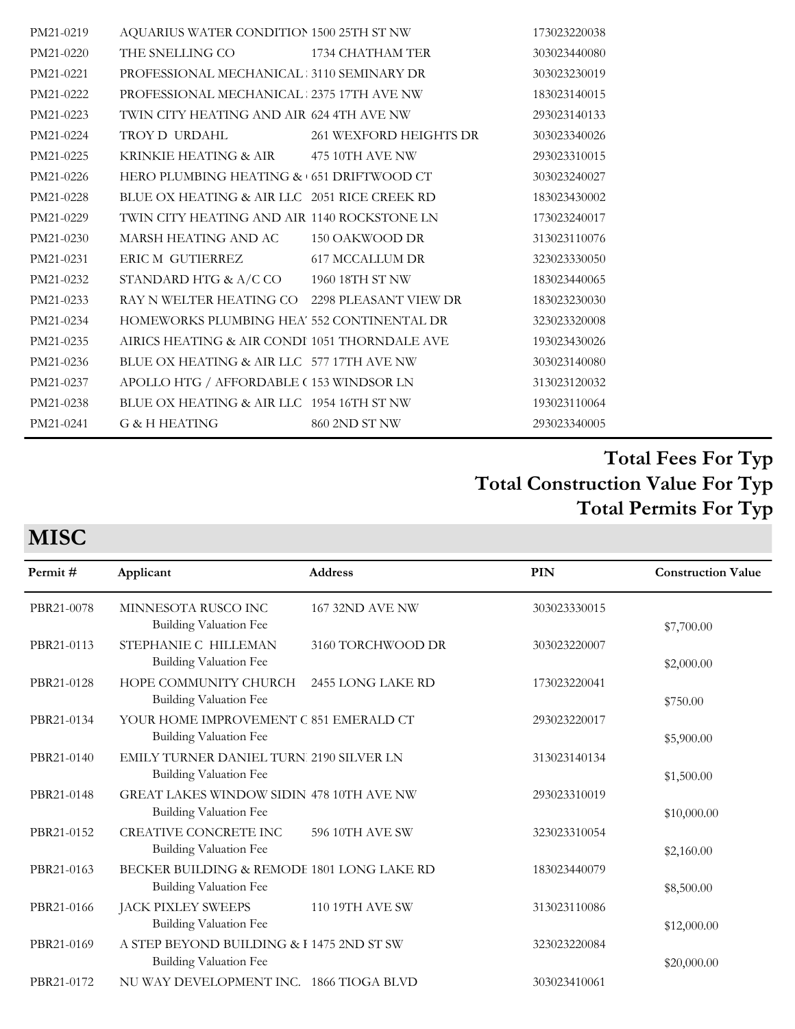| PM21-0219 | AQUARIUS WATER CONDITION 1500 25TH ST NW      |                        | 173023220038 |
|-----------|-----------------------------------------------|------------------------|--------------|
| PM21-0220 | THE SNELLING CO 1734 CHATHAM TER              |                        | 303023440080 |
| PM21-0221 | PROFESSIONAL MECHANICAL 3110 SEMINARY DR      |                        | 303023230019 |
| PM21-0222 | PROFESSIONAL MECHANICAL : 2375 17TH AVE NW    |                        | 183023140015 |
| PM21-0223 | TWIN CITY HEATING AND AIR 624 4TH AVE NW      |                        | 293023140133 |
| PM21-0224 | TROY D URDAHL                                 | 261 WEXFORD HEIGHTS DR | 303023340026 |
| PM21-0225 | KRINKIE HEATING & AIR 475 10TH AVE NW         |                        | 293023310015 |
| PM21-0226 | HERO PLUMBING HEATING & 651 DRIFTWOOD CT      |                        | 303023240027 |
| PM21-0228 | BLUE OX HEATING & AIR LLC 2051 RICE CREEK RD  |                        | 183023430002 |
| PM21-0229 | TWIN CITY HEATING AND AIR 1140 ROCKSTONE LN   |                        | 173023240017 |
| PM21-0230 | MARSH HEATING AND AC                          | 150 OAKWOOD DR         | 313023110076 |
| PM21-0231 | ERIC M GUTIERREZ                              | 617 MCCALLUM DR        | 323023330050 |
| PM21-0232 | STANDARD HTG & A/C CO 1960 18TH ST NW         |                        | 183023440065 |
| PM21-0233 | RAY N WELTER HEATING CO 2298 PLEASANT VIEW DR |                        | 183023230030 |
| PM21-0234 | HOMEWORKS PLUMBING HEA' 552 CONTINENTAL DR    |                        | 323023320008 |
| PM21-0235 | AIRICS HEATING & AIR CONDI 1051 THORNDALE AVE |                        | 193023430026 |
| PM21-0236 | BLUE OX HEATING & AIR LLC 577 17TH AVE NW     |                        | 303023140080 |
| PM21-0237 | APOLLO HTG / AFFORDABLE (153 WINDSOR LN       |                        | 313023120032 |
| PM21-0238 | BLUE OX HEATING & AIR LLC 1954 16TH ST NW     |                        | 193023110064 |
| PM21-0241 | G & H HEATING                                 | 860 2ND ST NW          | 293023340005 |

# **MISC**

| Permit#    | Applicant                                                            | <b>Address</b>         | PIN          | <b>Construction Value</b> |
|------------|----------------------------------------------------------------------|------------------------|--------------|---------------------------|
| PBR21-0078 | MINNESOTA RUSCO INC<br>Building Valuation Fee                        | <b>167 32ND AVE NW</b> | 303023330015 | \$7,700.00                |
| PBR21-0113 | STEPHANIE C HILLEMAN<br>Building Valuation Fee                       | 3160 TORCHWOOD DR      | 303023220007 | \$2,000.00                |
| PBR21-0128 | HOPE COMMUNITY CHURCH<br><b>Building Valuation Fee</b>               | 2455 LONG LAKE RD      | 173023220041 | \$750.00                  |
| PBR21-0134 | YOUR HOME IMPROVEMENT C 851 EMERALD CT<br>Building Valuation Fee     |                        | 293023220017 | \$5,900.00                |
| PBR21-0140 | EMILY TURNER DANIEL TURN. 2190 SILVER LN<br>Building Valuation Fee   |                        | 313023140134 | \$1,500.00                |
| PBR21-0148 | GREAT LAKES WINDOW SIDIN 478 10TH AVE NW<br>Building Valuation Fee   |                        | 293023310019 | \$10,000.00               |
| PBR21-0152 | <b>CREATIVE CONCRETE INC</b><br>Building Valuation Fee               | 596 10TH AVE SW        | 323023310054 | \$2,160.00                |
| PBR21-0163 | BECKER BUILDING & REMODE 1801 LONG LAKE RD<br>Building Valuation Fee |                        | 183023440079 | \$8,500.00                |
| PBR21-0166 | JACK PIXLEY SWEEPS<br>Building Valuation Fee                         | <b>110 19TH AVE SW</b> | 313023110086 | \$12,000.00               |
| PBR21-0169 | A STEP BEYOND BUILDING & I 1475 2ND ST SW<br>Building Valuation Fee  |                        | 323023220084 | \$20,000.00               |
| PBR21-0172 | NU WAY DEVELOPMENT INC. 1866 TIOGA BLVD                              |                        | 303023410061 |                           |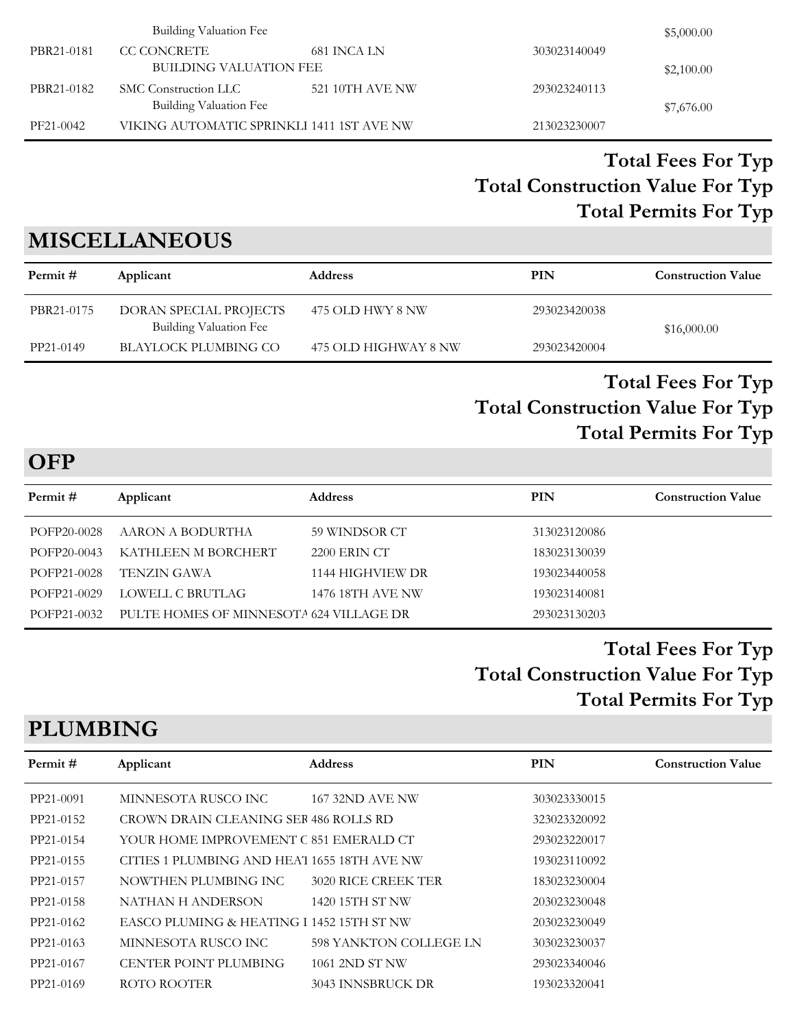|            | Building Valuation Fee                    |                 |              | \$5,000.00 |
|------------|-------------------------------------------|-----------------|--------------|------------|
| PBR21-0181 | CC CONCRETE                               | 681 INCA LN     | 303023140049 |            |
|            | BUILDING VALUATION FEE                    |                 |              | \$2,100.00 |
| PBR21-0182 | SMC Construction LLC                      | 521 10TH AVE NW | 293023240113 |            |
|            | Building Valuation Fee                    |                 |              | \$7,676.00 |
| PF21-0042  | VIKING AUTOMATIC SPRINKLI 1411 1ST AVE NW |                 | 213023230007 |            |

# **MISCELLANEOUS**

| Permit #   | Applicant                                        | <b>Address</b>       | PIN          | <b>Construction Value</b> |
|------------|--------------------------------------------------|----------------------|--------------|---------------------------|
| PBR21-0175 | DORAN SPECIAL PROJECTS<br>Building Valuation Fee | 475 OLD HWY 8 NW     | 293023420038 | \$16,000.00               |
| PP21-0149  | BLAYLOCK PLUMBING CO                             | 475 OLD HIGHWAY 8 NW | 293023420004 |                           |

### **Total Construction Value For Typ Total Fees For Typ Total Permits For Typ**

**OFP**

| Permit#     | Applicant                               | <b>Address</b>   | <b>PIN</b>   | <b>Construction Value</b> |
|-------------|-----------------------------------------|------------------|--------------|---------------------------|
|             |                                         |                  |              |                           |
| POFP20-0028 | AARON A BODURTHA                        | 59 WINDSOR CT    | 313023120086 |                           |
| POFP20-0043 | KATHLEEN M BORCHERT                     | 2200 ERIN CT     | 183023130039 |                           |
| POFP21-0028 | TENZIN GAWA                             | 1144 HIGHVIEW DR | 193023440058 |                           |
| POFP21-0029 | LOWELL C BRUTLAG                        | 1476 18TH AVE NW | 193023140081 |                           |
| POFP21-0032 | PULTE HOMES OF MINNESOTA 624 VILLAGE DR |                  | 293023130203 |                           |

### **Total Construction Value For Typ Total Fees For Typ Total Permits For Typ**

### **PLUMBING**

| Permit#   | Applicant                                   | <b>Address</b>         | PIN          | <b>Construction Value</b> |
|-----------|---------------------------------------------|------------------------|--------------|---------------------------|
| PP21-0091 | MINNESOTA RUSCO INC                         | <b>167 32ND AVE NW</b> | 303023330015 |                           |
| PP21-0152 | CROWN DRAIN CLEANING SER 486 ROLLS RD       |                        | 323023320092 |                           |
| PP21-0154 | YOUR HOME IMPROVEMENT C 851 EMERALD CT      |                        | 293023220017 |                           |
| PP21-0155 | CITIES 1 PLUMBING AND HEAT 1655 18TH AVE NW |                        | 193023110092 |                           |
| PP21-0157 | NOWTHEN PLUMBING INC                        | 3020 RICE CREEK TER    | 183023230004 |                           |
| PP21-0158 | NATHAN H ANDERSON                           | 1420 15TH ST NW        | 203023230048 |                           |
| PP21-0162 | EASCO PLUMING & HEATING I 1452 15TH ST NW   |                        | 203023230049 |                           |
| PP21-0163 | MINNESOTA RUSCO INC                         | 598 YANKTON COLLEGE LN | 303023230037 |                           |
| PP21-0167 | <b>CENTER POINT PLUMBING</b>                | 1061 2ND ST NW         | 293023340046 |                           |
| PP21-0169 | ROTO ROOTER                                 | 3043 INNSBRUCK DR      | 193023320041 |                           |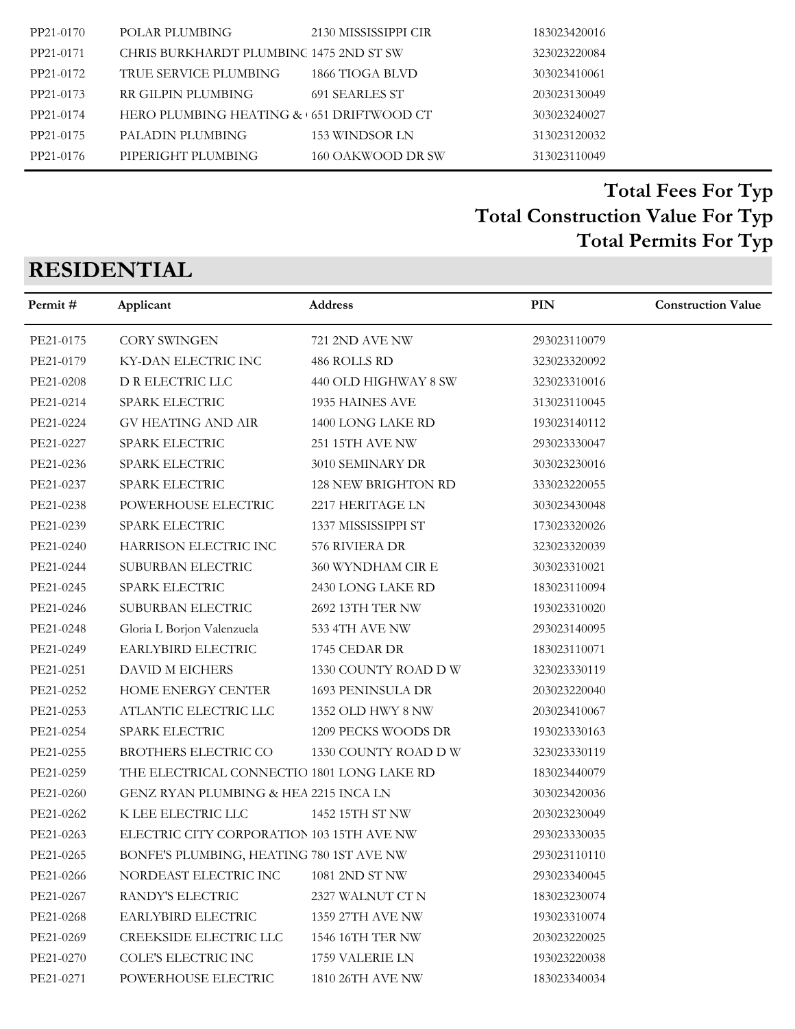| PP21-0170 | POLAR PLUMBING                           | 2130 MISSISSIPPI CIR | 183023420016 |
|-----------|------------------------------------------|----------------------|--------------|
| PP21-0171 | CHRIS BURKHARDT PLUMBINC 1475 2ND ST SW  |                      | 323023220084 |
| PP21-0172 | TRUE SERVICE PLUMBING                    | 1866 TIOGA BLVD      | 303023410061 |
| PP21-0173 | RR GILPIN PLUMBING                       | 691 SEARLES ST       | 203023130049 |
| PP21-0174 | HERO PLUMBING HEATING & 651 DRIFTWOOD CT |                      | 303023240027 |
| PP21-0175 | PALADIN PLUMBING                         | 153 WINDSOR LN       | 313023120032 |
| PP21-0176 | PIPERIGHT PLUMBING                       | 160 OAKWOOD DR SW    | 313023110049 |

# **RESIDENTIAL**

| Permit#   | Applicant                                  | Address                    | PIN          | <b>Construction Value</b> |
|-----------|--------------------------------------------|----------------------------|--------------|---------------------------|
| PE21-0175 | <b>CORY SWINGEN</b>                        | 721 2ND AVE NW             | 293023110079 |                           |
| PE21-0179 | KY-DAN ELECTRIC INC                        | 486 ROLLS RD               | 323023320092 |                           |
| PE21-0208 | D R ELECTRIC LLC                           | 440 OLD HIGHWAY 8 SW       | 323023310016 |                           |
| PE21-0214 | SPARK ELECTRIC                             | 1935 HAINES AVE            | 313023110045 |                           |
| PE21-0224 | <b>GV HEATING AND AIR</b>                  | 1400 LONG LAKE RD          | 193023140112 |                           |
| PE21-0227 | SPARK ELECTRIC                             | <b>251 15TH AVE NW</b>     | 293023330047 |                           |
| PE21-0236 | SPARK ELECTRIC                             | 3010 SEMINARY DR           | 303023230016 |                           |
| PE21-0237 | SPARK ELECTRIC                             | <b>128 NEW BRIGHTON RD</b> | 333023220055 |                           |
| PE21-0238 | POWERHOUSE ELECTRIC                        | 2217 HERITAGE LN           | 303023430048 |                           |
| PE21-0239 | SPARK ELECTRIC                             | 1337 MISSISSIPPI ST        | 173023320026 |                           |
| PE21-0240 | HARRISON ELECTRIC INC                      | 576 RIVIERA DR             | 323023320039 |                           |
| PE21-0244 | SUBURBAN ELECTRIC                          | 360 WYNDHAM CIR E          | 303023310021 |                           |
| PE21-0245 | SPARK ELECTRIC                             | 2430 LONG LAKE RD          | 183023110094 |                           |
| PE21-0246 | SUBURBAN ELECTRIC                          | 2692 13TH TER NW           | 193023310020 |                           |
| PE21-0248 | Gloria L Borjon Valenzuela                 | 533 4TH AVE NW             | 293023140095 |                           |
| PE21-0249 | EARLYBIRD ELECTRIC                         | 1745 CEDAR DR              | 183023110071 |                           |
| PE21-0251 | DAVID M EICHERS                            | 1330 COUNTY ROAD D W       | 323023330119 |                           |
| PE21-0252 | HOME ENERGY CENTER                         | 1693 PENINSULA DR          | 203023220040 |                           |
| PE21-0253 | ATLANTIC ELECTRIC LLC                      | 1352 OLD HWY 8 NW          | 203023410067 |                           |
| PE21-0254 | SPARK ELECTRIC                             | 1209 PECKS WOODS DR        | 193023330163 |                           |
| PE21-0255 | BROTHERS ELECTRIC CO                       | 1330 COUNTY ROAD D W       | 323023330119 |                           |
| PE21-0259 | THE ELECTRICAL CONNECTIO 1801 LONG LAKE RD |                            | 183023440079 |                           |
| PE21-0260 | GENZ RYAN PLUMBING & HEA 2215 INCA LN      |                            | 303023420036 |                           |
| PE21-0262 | K LEE ELECTRIC LLC                         | 1452 15TH ST NW            | 203023230049 |                           |
| PE21-0263 | ELECTRIC CITY CORPORATION 103 15TH AVE NW  |                            | 293023330035 |                           |
| PE21-0265 | BONFE'S PLUMBING, HEATING 780 1ST AVE NW   |                            | 293023110110 |                           |
| PE21-0266 | NORDEAST ELECTRIC INC 1081 2ND ST NW       |                            | 293023340045 |                           |
| PE21-0267 | RANDY'S ELECTRIC                           | 2327 WALNUT CT N           | 183023230074 |                           |
| PE21-0268 | EARLYBIRD ELECTRIC                         | 1359 27TH AVE NW           | 193023310074 |                           |
| PE21-0269 | CREEKSIDE ELECTRIC LLC                     | 1546 16TH TER NW           | 203023220025 |                           |
| PE21-0270 | COLE'S ELECTRIC INC                        | 1759 VALERIE LN            | 193023220038 |                           |
| PE21-0271 | POWERHOUSE ELECTRIC                        | 1810 26TH AVE NW           | 183023340034 |                           |
|           |                                            |                            |              |                           |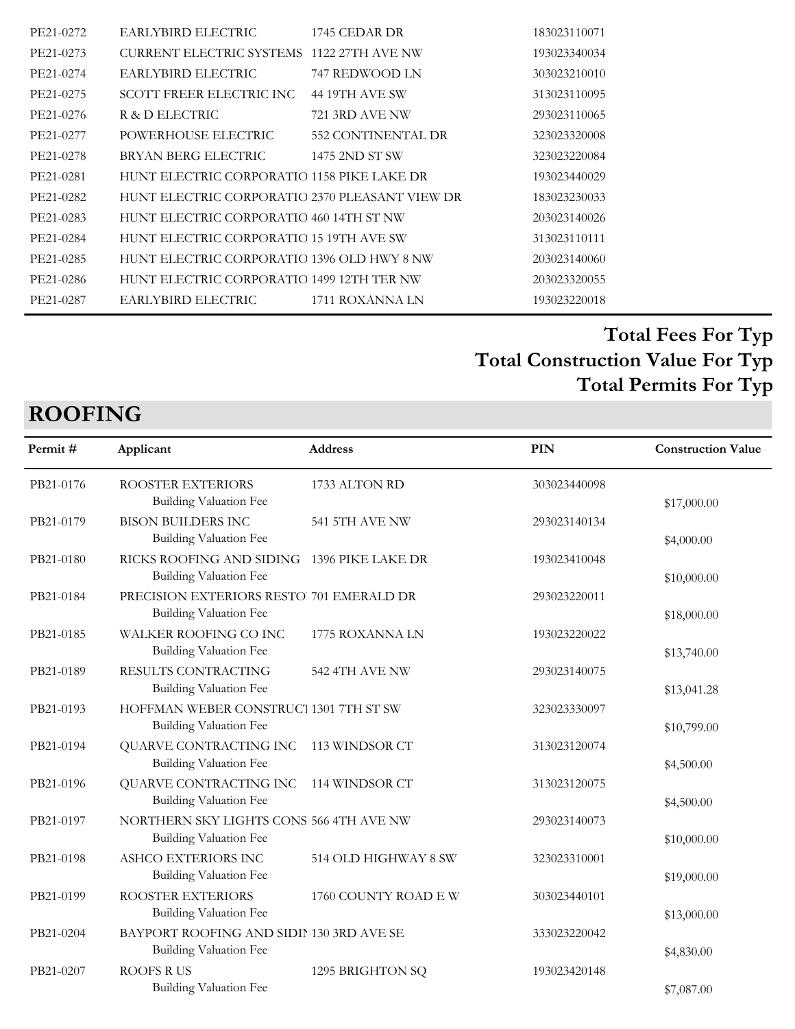| PE21-0272 | EARLYBIRD ELECTRIC                             | 1745 CEDAR DR      | 183023110071 |
|-----------|------------------------------------------------|--------------------|--------------|
| PE21-0273 | CURRENT ELECTRIC SYSTEMS 1122 27TH AVE NW      |                    | 193023340034 |
| PE21-0274 | EARLYBIRD ELECTRIC                             | 747 REDWOOD LN     | 303023210010 |
| PE21-0275 | SCOTT FREER ELECTRIC INC                       | 44 19TH AVE SW     | 313023110095 |
| PE21-0276 | R & D ELECTRIC                                 | 721 3RD AVE NW     | 293023110065 |
| PE21-0277 | POWERHOUSE ELECTRIC                            | 552 CONTINENTAL DR | 323023320008 |
| PE21-0278 | BRYAN BERG ELECTRIC                            | 1475 2ND ST SW     | 323023220084 |
| PE21-0281 | HUNT ELECTRIC CORPORATIO 1158 PIKE LAKE DR     |                    | 193023440029 |
| PE21-0282 | HUNT ELECTRIC CORPORATIO 2370 PLEASANT VIEW DR |                    | 183023230033 |
| PE21-0283 | HUNT ELECTRIC CORPORATIO 460 14TH ST NW        |                    | 203023140026 |
| PE21-0284 | HUNT ELECTRIC CORPORATIO 15 19TH AVE SW        |                    | 313023110111 |
| PE21-0285 | HUNT ELECTRIC CORPORATIO 1396 OLD HWY 8 NW     |                    | 203023140060 |
| PE21-0286 | HUNT ELECTRIC CORPORATIO 1499 12TH TER NW      |                    | 203023320055 |
| PE21-0287 | EARLYBIRD ELECTRIC                             | 1711 ROXANNA LN    | 193023220018 |
|           |                                                |                    |              |

# **ROOFING**

| Permit#   | Applicant                                                                  | <b>Address</b>        | PIN          | <b>Construction Value</b> |
|-----------|----------------------------------------------------------------------------|-----------------------|--------------|---------------------------|
| PB21-0176 | ROOSTER EXTERIORS<br><b>Building Valuation Fee</b>                         | 1733 ALTON RD         | 303023440098 | \$17,000.00               |
| PB21-0179 | <b>BISON BUILDERS INC</b><br><b>Building Valuation Fee</b>                 | <b>541 5TH AVE NW</b> | 293023140134 | \$4,000.00                |
| PB21-0180 | RICKS ROOFING AND SIDING 1396 PIKE LAKE DR<br>Building Valuation Fee       |                       | 193023410048 | \$10,000.00               |
| PB21-0184 | PRECISION EXTERIORS RESTO. 701 EMERALD DR<br><b>Building Valuation Fee</b> |                       | 293023220011 | \$18,000.00               |
| PB21-0185 | WALKER ROOFING CO INC<br><b>Building Valuation Fee</b>                     | 1775 ROXANNA LN       | 193023220022 | \$13,740.00               |
| PB21-0189 | RESULTS CONTRACTING<br><b>Building Valuation Fee</b>                       | 542 4TH AVE NW        | 293023140075 | \$13,041.28               |
| PB21-0193 | HOFFMAN WEBER CONSTRUCT 1301 7TH ST SW<br>Building Valuation Fee           |                       | 323023330097 | \$10,799.00               |
| PB21-0194 | QUARVE CONTRACTING INC<br><b>Building Valuation Fee</b>                    | 113 WINDSOR CT        | 313023120074 | \$4,500.00                |
| PB21-0196 | QUARVE CONTRACTING INC<br>Building Valuation Fee                           | 114 WINDSOR CT        | 313023120075 | \$4,500.00                |
| PB21-0197 | NORTHERN SKY LIGHTS CONS 566 4TH AVE NW<br>Building Valuation Fee          |                       | 293023140073 | \$10,000.00               |
| PB21-0198 | ASHCO EXTERIORS INC<br>Building Valuation Fee                              | 514 OLD HIGHWAY 8 SW  | 323023310001 | \$19,000.00               |
| PB21-0199 | ROOSTER EXTERIORS<br>Building Valuation Fee                                | 1760 COUNTY ROAD E W  | 303023440101 | \$13,000.00               |
| PB21-0204 | BAYPORT ROOFING AND SIDII 130 3RD AVE SE<br>Building Valuation Fee         |                       | 333023220042 | \$4,830.00                |
| PB21-0207 | <b>ROOFS RUS</b><br><b>Building Valuation Fee</b>                          | 1295 BRIGHTON SQ      | 193023420148 | \$7,087.00                |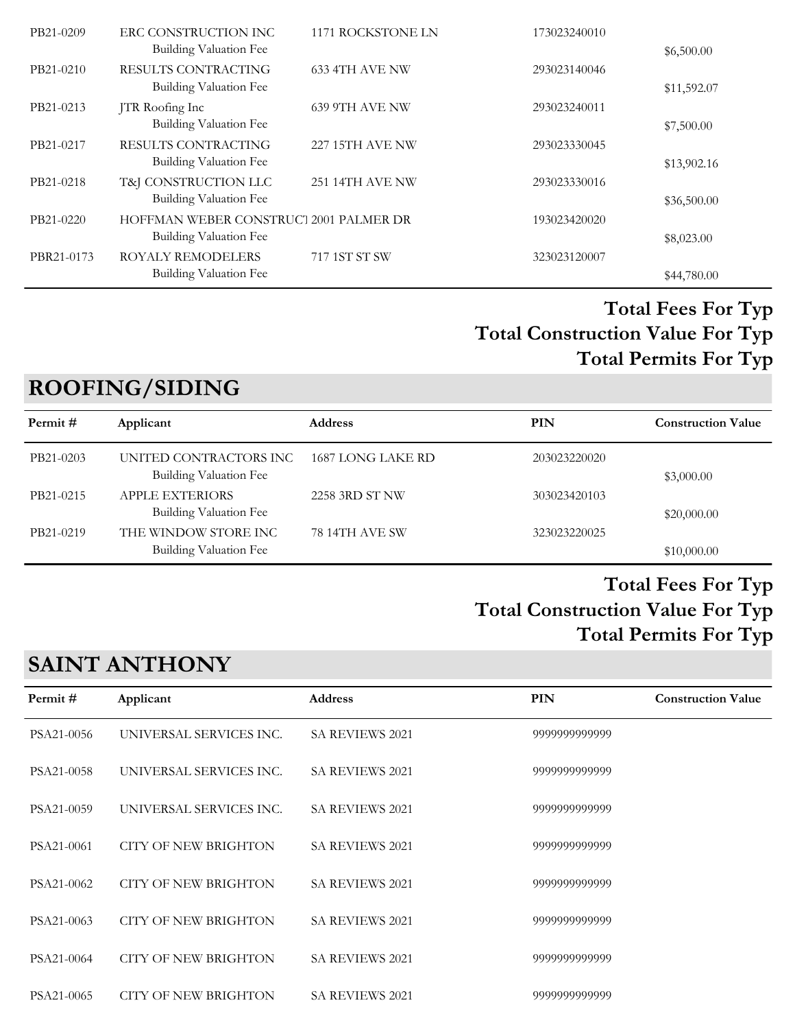| PB21-0209  | ERC CONSTRUCTION INC<br>Building Valuation Fee | 1171 ROCKSTONE LN      | 173023240010 |             |
|------------|------------------------------------------------|------------------------|--------------|-------------|
| PB21-0210  | RESULTS CONTRACTING                            | 633 4TH AVE NW         | 293023140046 | \$6,500.00  |
|            | Building Valuation Fee                         |                        |              | \$11,592.07 |
| PB21-0213  | JTR Roofing Inc                                | 639 9TH AVE NW         | 293023240011 |             |
|            | Building Valuation Fee                         |                        |              | \$7,500.00  |
| PB21-0217  | RESULTS CONTRACTING                            | <b>227 15TH AVE NW</b> | 293023330045 |             |
|            | Building Valuation Fee                         |                        |              | \$13,902.16 |
| PB21-0218  | T&J CONSTRUCTION LLC                           | <b>251 14TH AVE NW</b> | 293023330016 |             |
|            | Building Valuation Fee                         |                        |              | \$36,500.00 |
| PB21-0220  | HOFFMAN WEBER CONSTRUCT 2001 PALMER DR         |                        | 193023420020 |             |
|            | Building Valuation Fee                         |                        |              | \$8,023.00  |
| PBR21-0173 | <b>ROYALY REMODELERS</b>                       | 717 1ST ST SW          | 323023120007 |             |
|            | Building Valuation Fee                         |                        |              | \$44,780.00 |

### **ROOFING/SIDING**

| Permit#   | Applicant                                               | <b>Address</b>    | PIN          | <b>Construction Value</b> |
|-----------|---------------------------------------------------------|-------------------|--------------|---------------------------|
| PB21-0203 | UNITED CONTRACTORS INC<br><b>Building Valuation Fee</b> | 1687 LONG LAKE RD | 203023220020 | \$3,000.00                |
| PB21-0215 | <b>APPLE EXTERIORS</b><br>Building Valuation Fee        | 2258 3RD ST NW    | 303023420103 | \$20,000.00               |
| PB21-0219 | THE WINDOW STORE INC<br>Building Valuation Fee          | 78 14TH AVE SW    | 323023220025 | \$10,000.00               |

### **Total Construction Value For Typ Total Fees For Typ Total Permits For Typ**

# **SAINT ANTHONY**

| Permit #   | Applicant                   | <b>Address</b>         | PIN           | <b>Construction Value</b> |
|------------|-----------------------------|------------------------|---------------|---------------------------|
| PSA21-0056 | UNIVERSAL SERVICES INC.     | <b>SA REVIEWS 2021</b> | 9999999999999 |                           |
| PSA21-0058 | UNIVERSAL SERVICES INC.     | <b>SA REVIEWS 2021</b> | 9999999999999 |                           |
| PSA21-0059 | UNIVERSAL SERVICES INC.     | <b>SA REVIEWS 2021</b> | 9999999999999 |                           |
| PSA21-0061 | <b>CITY OF NEW BRIGHTON</b> | <b>SA REVIEWS 2021</b> | 9999999999999 |                           |
| PSA21-0062 | <b>CITY OF NEW BRIGHTON</b> | <b>SA REVIEWS 2021</b> | 9999999999999 |                           |
| PSA21-0063 | <b>CITY OF NEW BRIGHTON</b> | <b>SA REVIEWS 2021</b> | 9999999999999 |                           |
| PSA21-0064 | <b>CITY OF NEW BRIGHTON</b> | <b>SA REVIEWS 2021</b> | 9999999999999 |                           |
| PSA21-0065 | CITY OF NEW BRIGHTON        | <b>SA REVIEWS 2021</b> | 9999999999999 |                           |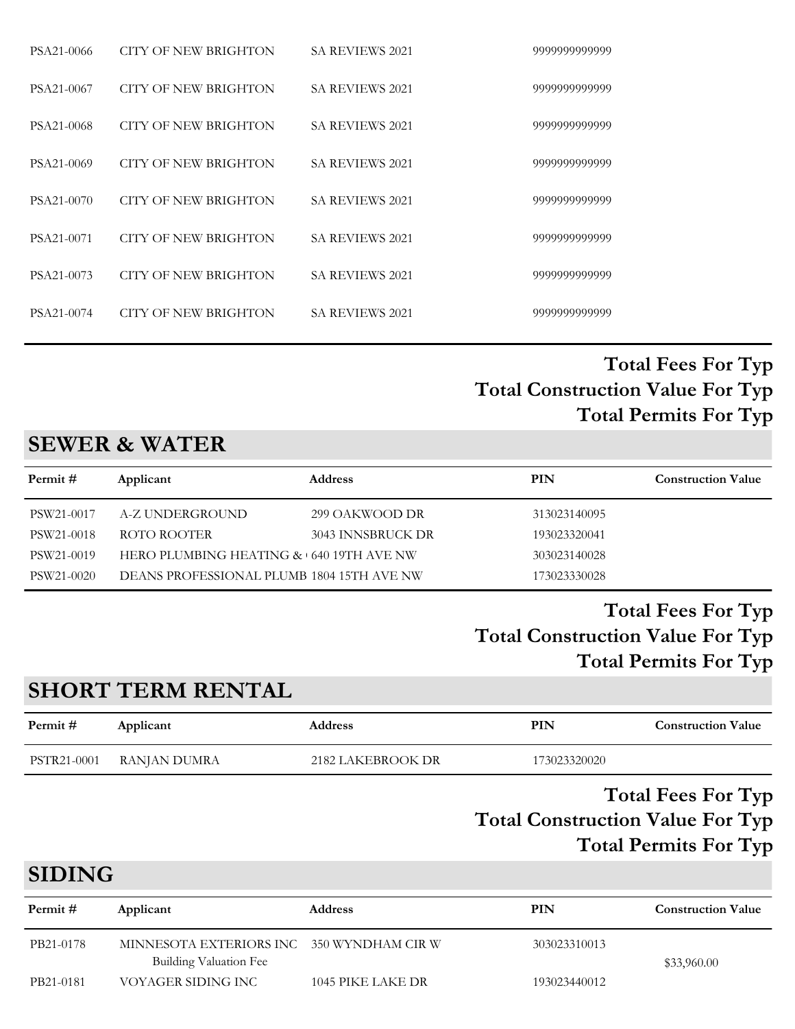| PSA21-0066 | CITY OF NEW BRIGHTON        | <b>SA REVIEWS 2021</b> | 9999999999999 |
|------------|-----------------------------|------------------------|---------------|
| PSA21-0067 | CITY OF NEW BRIGHTON        | <b>SA REVIEWS 2021</b> | 9999999999999 |
| PSA21-0068 | CITY OF NEW BRIGHTON        | <b>SA REVIEWS 2021</b> | 9999999999999 |
| PSA21-0069 | <b>CITY OF NEW BRIGHTON</b> | <b>SA REVIEWS 2021</b> | 9999999999999 |
| PSA21-0070 | <b>CITY OF NEW BRIGHTON</b> | <b>SA REVIEWS 2021</b> | 9999999999999 |
| PSA21-0071 | CITY OF NEW BRIGHTON        | <b>SA REVIEWS 2021</b> | 9999999999999 |
| PSA21-0073 | CITY OF NEW BRIGHTON        | <b>SA REVIEWS 2021</b> | 9999999999999 |
| PSA21-0074 | CITY OF NEW BRIGHTON        | <b>SA REVIEWS 2021</b> | 9999999999999 |

### **SEWER & WATER**

| Permit #   | Applicant                                 | <b>Address</b>    | PIN          | <b>Construction Value</b> |
|------------|-------------------------------------------|-------------------|--------------|---------------------------|
| PSW21-0017 | A-Z UNDERGROUND                           | 299 OAKWOOD DR    | 313023140095 |                           |
| PSW21-0018 | ROTO ROOTER                               | 3043 INNSBRUCK DR | 193023320041 |                           |
| PSW21-0019 | HERO PLUMBING HEATING & 640 19TH AVE NW   |                   | 303023140028 |                           |
| PSW21-0020 | DEANS PROFESSIONAL PLUMB 1804 15TH AVE NW |                   | 173023330028 |                           |
|            |                                           |                   |              |                           |

### **Total Construction Value For Typ Total Fees For Typ Total Permits For Typ**

### **SHORT TERM RENTAL**

| Permit #    | Applicant    | <b>Address</b>    | PIN          | <b>Construction Value</b>                                                              |
|-------------|--------------|-------------------|--------------|----------------------------------------------------------------------------------------|
| PSTR21-0001 | RANJAN DUMRA | 2182 LAKEBROOK DR | 173023320020 |                                                                                        |
|             |              |                   | $T \cdot 10$ | <b>Total Fees For Typ</b><br>$\mathbf{H}$<br>$\mathbf{1}$ $\mathbf{1}$<br>$\mathbf{E}$ |

# **Total Construction Value For Typ Total Permits For Typ**

# **SIDING**

| Applicant                     | <b>Address</b>    | PIN                                       | <b>Construction Value</b> |
|-------------------------------|-------------------|-------------------------------------------|---------------------------|
| <b>Building Valuation Fee</b> |                   | 303023310013                              | \$33,960.00               |
| VOYAGER SIDING INC            | 1045 PIKE LAKE DR | 193023440012                              |                           |
|                               |                   | MINNESOTA EXTERIORS INC 350 WYNDHAM CIR W |                           |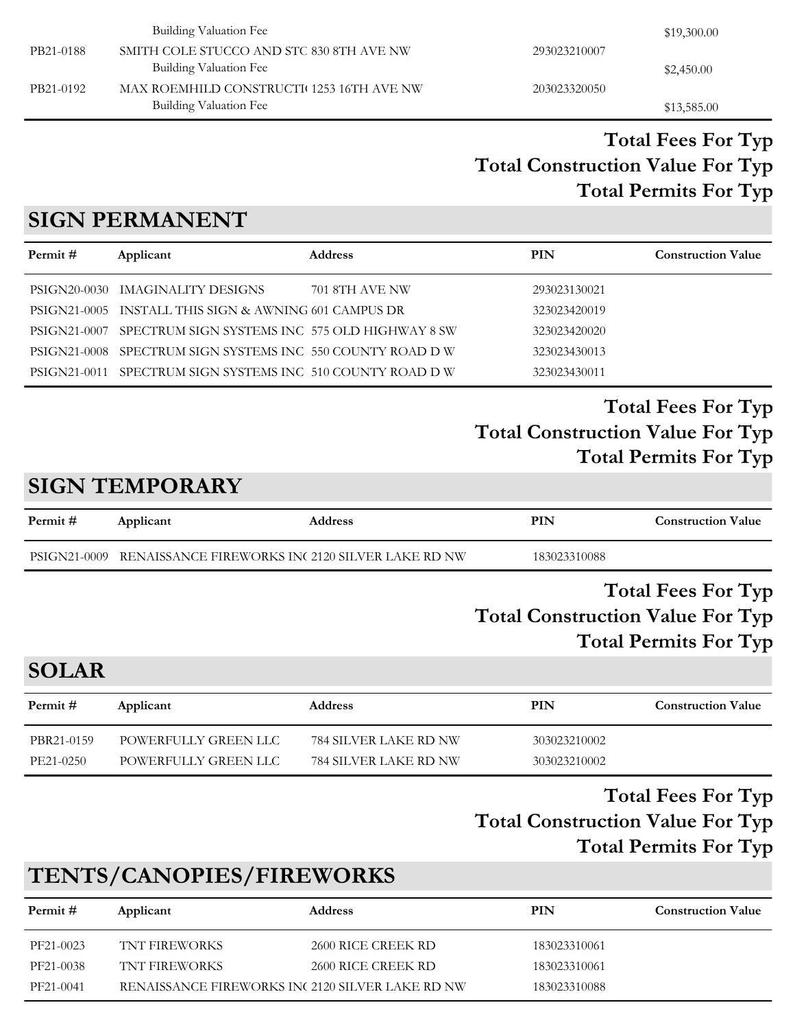|           | Building Valuation Fee                   |              | \$19,300.00 |
|-----------|------------------------------------------|--------------|-------------|
| PB21-0188 | SMITH COLE STUCCO AND STC 830 8TH AVE NW | 293023210007 |             |
|           | Building Valuation Fee                   |              | \$2,450.00  |
| PB21-0192 | MAX ROEMHILD CONSTRUCTI 1253 16TH AVE NW | 203023320050 |             |
|           | Building Valuation Fee                   |              | \$13,585.00 |

### **SIGN PERMANENT**

| Permit #     | Applicant                                                  | <b>Address</b> | <b>PIN</b>   | <b>Construction Value</b> |
|--------------|------------------------------------------------------------|----------------|--------------|---------------------------|
| PSIGN20-0030 | IMAGINALITY DESIGNS                                        | 701 8TH AVE NW | 293023130021 |                           |
|              | PSIGN21-0005 INSTALL THIS SIGN & AWNING 601 CAMPUS DR      |                | 323023420019 |                           |
| PSIGN21-0007 | SPECTRUM SIGN SYSTEMS INC 575 OLD HIGHWAY 8 SW             |                | 323023420020 |                           |
| PSIGN21-0008 | SPECTRUM SIGN SYSTEMS INC 550 COUNTY ROAD D W              |                | 323023430013 |                           |
|              | PSIGN21-0011 SPECTRUM SIGN SYSTEMS INC 510 COUNTY ROAD D W |                | 323023430011 |                           |

# **Total Construction Value For Typ Total Fees For Typ Total Permits For Typ**

# **SIGN TEMPORARY**

| Permit #     | Applicant                                        | <b>Address</b> | PIN          | <b>Construction Value</b> |
|--------------|--------------------------------------------------|----------------|--------------|---------------------------|
| PSIGN21-0009 | RENAISSANCE FIREWORKS INC 2120 SILVER LAKE RD NW |                | 183023310088 |                           |

#### **Total Construction Value For Typ Total Fees For Typ Total Permits For Typ**

# **SOLAR**

| Permit #   | Applicant            | <b>Address</b>        | PIN          | <b>Construction Value</b> |
|------------|----------------------|-----------------------|--------------|---------------------------|
| PBR21-0159 | POWERFULLY GREEN LLC | 784 SILVER LAKE RD NW | 303023210002 |                           |
| PE21-0250  | POWERFULLY GREEN LLC | 784 SILVER LAKE RD NW | 303023210002 |                           |

#### **Total Construction Value For Typ Total Fees For Typ Total Permits For Typ**

# **TENTS/CANOPIES/FIREWORKS**

| Permit #  | Applicant                                        | <b>Address</b>     | PIN          | <b>Construction Value</b> |
|-----------|--------------------------------------------------|--------------------|--------------|---------------------------|
| PF21-0023 | TNT FIREWORKS                                    | 2600 RICE CREEK RD | 183023310061 |                           |
| PF21-0038 | TNT FIREWORKS                                    | 2600 RICE CREEK RD | 183023310061 |                           |
| PF21-0041 | RENAISSANCE FIREWORKS INC 2120 SILVER LAKE RD NW |                    | 183023310088 |                           |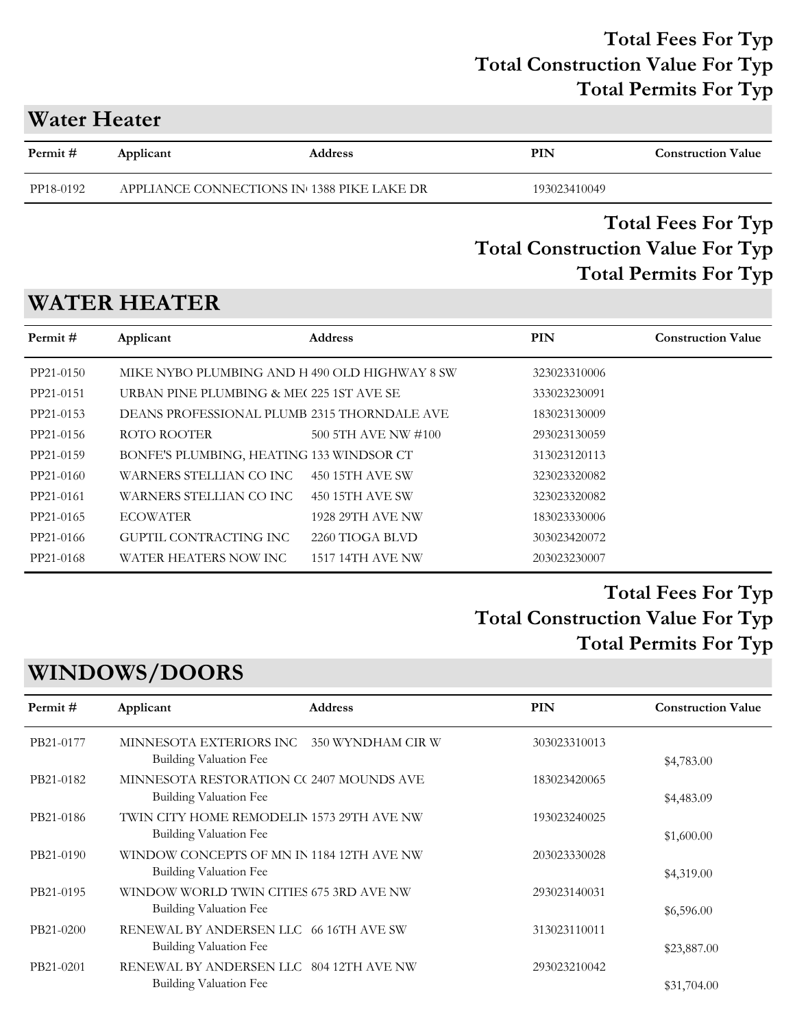### **Water Heater**

| Permit#   | Applicant | <b>Address</b>                             | PIN          | <b>Construction Value</b> |
|-----------|-----------|--------------------------------------------|--------------|---------------------------|
| PP18-0192 |           | APPLIANCE CONNECTIONS IN 1388 PIKE LAKE DR | 193023410049 |                           |
|           |           |                                            |              |                           |

### **Total Construction Value For Typ Total Fees For Typ Total Permits For Typ**

# **WATER HEATER**

| Permit#   | Applicant                                     | <b>Address</b>          | <b>PIN</b>   | <b>Construction Value</b> |
|-----------|-----------------------------------------------|-------------------------|--------------|---------------------------|
| PP21-0150 | MIKE NYBO PLUMBING AND H 490 OLD HIGHWAY 8 SW |                         | 323023310006 |                           |
| PP21-0151 | URBAN PINE PLUMBING & ME(225 1ST AVE SE)      |                         | 333023230091 |                           |
| PP21-0153 | DEANS PROFESSIONAL PLUMB 2315 THORNDALE AVE   |                         | 183023130009 |                           |
| PP21-0156 | ROTO ROOTER                                   | 500 5TH AVE NW #100     | 293023130059 |                           |
| PP21-0159 | BONFE'S PLUMBING, HEATING 133 WINDSOR CT      |                         | 313023120113 |                           |
| PP21-0160 | WARNERS STELLIAN CO INC                       | 450 15TH AVE SW         | 323023320082 |                           |
| PP21-0161 | WARNERS STELLIAN CO INC                       | 450 15TH AVE SW         | 323023320082 |                           |
| PP21-0165 | <b>ECOWATER</b>                               | <b>1928 29TH AVE NW</b> | 183023330006 |                           |
| PP21-0166 | GUPTIL CONTRACTING INC                        | 2260 TIOGA BLVD         | 303023420072 |                           |
| PP21-0168 | WATER HEATERS NOW INC                         | 1517 14TH AVE NW        | 203023230007 |                           |

### **Total Construction Value For Typ Total Fees For Typ Total Permits For Typ**

# **WINDOWS/DOORS**

| Permit#   | Applicant                                                           | <b>Address</b>    | PIN          | <b>Construction Value</b> |
|-----------|---------------------------------------------------------------------|-------------------|--------------|---------------------------|
| PB21-0177 | MINNESOTA EXTERIORS INC<br>Building Valuation Fee                   | 350 WYNDHAM CIR W | 303023310013 | \$4,783.00                |
| PB21-0182 | MINNESOTA RESTORATION CC 2407 MOUNDS AVE<br>Building Valuation Fee  |                   | 183023420065 | \$4,483.09                |
| PB21-0186 | TWIN CITY HOME REMODELIN 1573 29TH AVE NW<br>Building Valuation Fee |                   | 193023240025 | \$1,600.00                |
| PB21-0190 | WINDOW CONCEPTS OF MN IN 1184 12TH AVE NW<br>Building Valuation Fee |                   | 203023330028 | \$4,319.00                |
| PB21-0195 | WINDOW WORLD TWIN CITIES 675 3RD AVE NW<br>Building Valuation Fee   |                   | 293023140031 | \$6,596.00                |
| PB21-0200 | RENEWAL BY ANDERSEN LLC 66 16TH AVE SW<br>Building Valuation Fee    |                   | 313023110011 | \$23,887.00               |
| PB21-0201 | RENEWAL BY ANDERSEN LLC 804 12TH AVE NW<br>Building Valuation Fee   |                   | 293023210042 | \$31,704.00               |